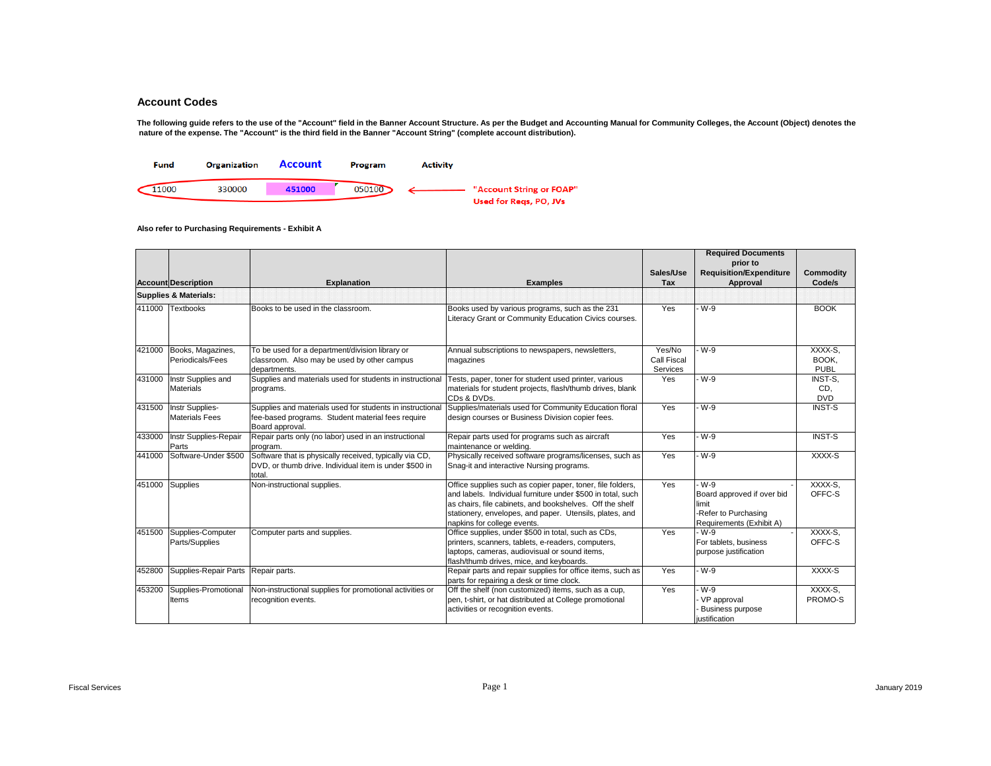The following guide refers to the use of the "Account" field in the Banner Account Structure. As per the Budget and Accounting Manual for Community Colleges, the Account (Object) denotes the  **nature of the expense. The "Account" is the third field in the Banner "Account String" (complete account distribution).** 



|        | <b>Account Description</b>                      | <b>Explanation</b>                                                                                                                | <b>Examples</b>                                                                                                                                                                                                                                                                 | Sales/Use<br>Tax                  | <b>Required Documents</b><br>prior to<br><b>Requisition/Expenditure</b><br>Approval              | Commodity<br>Code/s             |
|--------|-------------------------------------------------|-----------------------------------------------------------------------------------------------------------------------------------|---------------------------------------------------------------------------------------------------------------------------------------------------------------------------------------------------------------------------------------------------------------------------------|-----------------------------------|--------------------------------------------------------------------------------------------------|---------------------------------|
|        | <b>Supplies &amp; Materials:</b>                |                                                                                                                                   |                                                                                                                                                                                                                                                                                 |                                   |                                                                                                  |                                 |
|        | 411000 Textbooks                                | Books to be used in the classroom.                                                                                                | Books used by various programs, such as the 231<br>Literacy Grant or Community Education Civics courses.                                                                                                                                                                        | Yes                               | $-W-9$                                                                                           | <b>BOOK</b>                     |
|        | 421000 Books, Magazines,<br>Periodicals/Fees    | To be used for a department/division library or<br>classroom. Also may be used by other campus<br>departments.                    | Annual subscriptions to newspapers, newsletters,<br>magazines                                                                                                                                                                                                                   | Yes/No<br>Call Fiscal<br>Services | - W-9                                                                                            | XXXX-S.<br>BOOK,<br><b>PUBL</b> |
| 431000 | Instr Supplies and<br><b>Materials</b>          | Supplies and materials used for students in instructional<br>programs.                                                            | Tests, paper, toner for student used printer, various<br>materials for student projects, flash/thumb drives, blank<br>CDs & DVDs.                                                                                                                                               | Yes                               | - W-9                                                                                            | INST-S.<br>CD.<br><b>DVD</b>    |
|        | 431500 Instr Supplies-<br><b>Materials Fees</b> | Supplies and materials used for students in instructional<br>fee-based programs. Student material fees require<br>Board approval. | Supplies/materials used for Community Education floral<br>design courses or Business Division copier fees.                                                                                                                                                                      | Yes                               | W-9                                                                                              | <b>INST-S</b>                   |
| 433000 | Instr Supplies-Repair<br>Parts                  | Repair parts only (no labor) used in an instructional<br>program.                                                                 | Repair parts used for programs such as aircraft<br>maintenance or welding.                                                                                                                                                                                                      | Yes                               | - W-9                                                                                            | <b>INST-S</b>                   |
| 441000 | Software-Under \$500                            | Software that is physically received, typically via CD,<br>DVD, or thumb drive. Individual item is under \$500 in<br>total.       | Physically received software programs/licenses, such as<br>Snaq-it and interactive Nursing programs.                                                                                                                                                                            | Yes                               | - W-9                                                                                            | XXXX-S                          |
|        | 451000 Supplies                                 | Non-instructional supplies.                                                                                                       | Office supplies such as copier paper, toner, file folders,<br>and labels. Individual furniture under \$500 in total, such<br>as chairs, file cabinets, and bookshelves. Off the shelf<br>stationery, envelopes, and paper. Utensils, plates, and<br>napkins for college events. | Yes                               | - W-9<br>Board approved if over bid<br>limit<br>-Refer to Purchasing<br>Requirements (Exhibit A) | XXXX-S,<br>OFFC-S               |
|        | 451500 Supplies-Computer<br>Parts/Supplies      | Computer parts and supplies.                                                                                                      | Office supplies, under \$500 in total, such as CDs,<br>printers, scanners, tablets, e-readers, computers,<br>laptops, cameras, audiovisual or sound items,<br>flash/thumb drives, mice, and keyboards.                                                                          | Yes                               | - W-9<br>For tablets, business<br>purpose justification                                          | XXXX-S,<br>OFFC-S               |
| 452800 | Supplies-Repair Parts Repair parts.             |                                                                                                                                   | Repair parts and repair supplies for office items, such as<br>parts for repairing a desk or time clock.                                                                                                                                                                         | Yes                               | - W-9                                                                                            | XXXX-S                          |
| 453200 | Supplies-Promotional<br>Items                   | Non-instructional supplies for promotional activities or<br>recognition events.                                                   | Off the shelf (non customized) items, such as a cup,<br>pen, t-shirt, or hat distributed at College promotional<br>activities or recognition events.                                                                                                                            | Yes                               | - W-9<br>VP approval<br><b>Business purpose</b><br>justification                                 | XXXX-S,<br>PROMO-S              |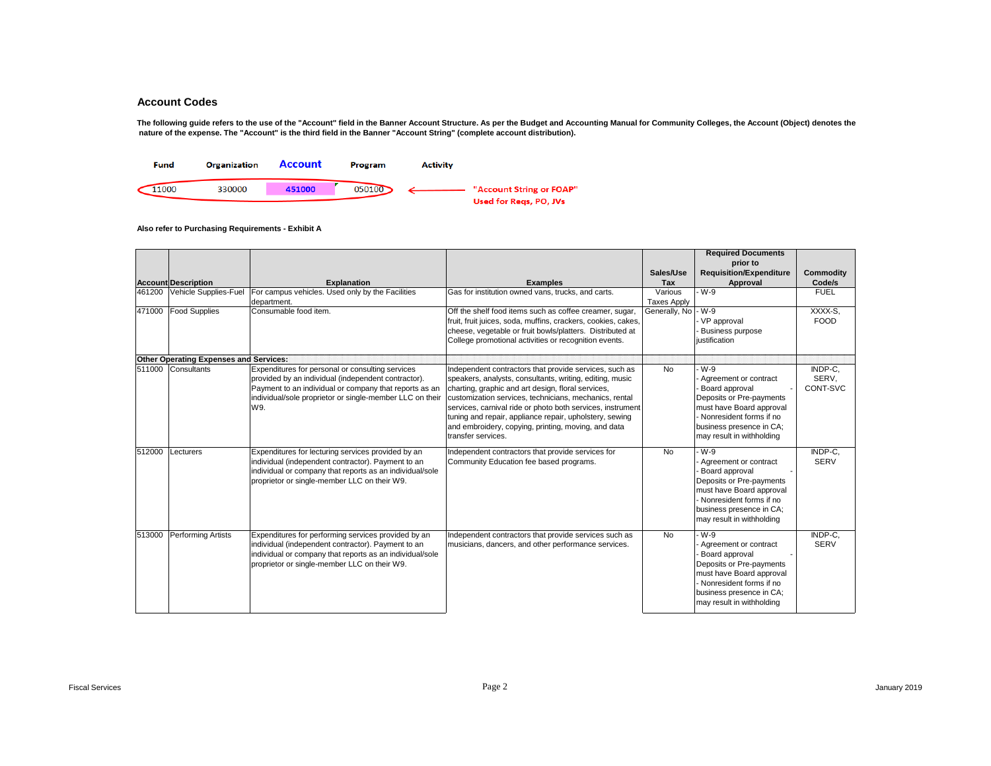The following guide refers to the use of the "Account" field in the Banner Account Structure. As per the Budget and Accounting Manual for Community Colleges, the Account (Object) denotes the  **nature of the expense. The "Account" is the third field in the Banner "Account String" (complete account distribution).** 



|        |                                               |                                                                                                                                                                                                                                      |                                                                                                                                                                                                                                                                                                                                                                                                                                          |                               | <b>Required Documents</b><br>prior to                                                                                                                                                        |                              |
|--------|-----------------------------------------------|--------------------------------------------------------------------------------------------------------------------------------------------------------------------------------------------------------------------------------------|------------------------------------------------------------------------------------------------------------------------------------------------------------------------------------------------------------------------------------------------------------------------------------------------------------------------------------------------------------------------------------------------------------------------------------------|-------------------------------|----------------------------------------------------------------------------------------------------------------------------------------------------------------------------------------------|------------------------------|
|        |                                               |                                                                                                                                                                                                                                      |                                                                                                                                                                                                                                                                                                                                                                                                                                          | Sales/Use                     | <b>Requisition/Expenditure</b>                                                                                                                                                               | <b>Commodity</b>             |
|        | <b>Account Description</b>                    | <b>Explanation</b>                                                                                                                                                                                                                   | <b>Examples</b>                                                                                                                                                                                                                                                                                                                                                                                                                          | Tax                           | Approval                                                                                                                                                                                     | Code/s                       |
| 461200 | Vehicle Supplies-Fuel                         | For campus vehicles. Used only by the Facilities<br>department.                                                                                                                                                                      | Gas for institution owned vans, trucks, and carts.                                                                                                                                                                                                                                                                                                                                                                                       | Various<br><b>Taxes Apply</b> | W-9                                                                                                                                                                                          | <b>FUEL</b>                  |
|        | 471000 Food Supplies                          | Consumable food item.                                                                                                                                                                                                                | Off the shelf food items such as coffee creamer, sugar,<br>fruit, fruit juices, soda, muffins, crackers, cookies, cakes,<br>cheese, vegetable or fruit bowls/platters. Distributed at<br>College promotional activities or recognition events.                                                                                                                                                                                           | Generally, No                 | $-W-9$<br>- VP approval<br><b>Business purpose</b><br>iustification                                                                                                                          | XXXX-S,<br><b>FOOD</b>       |
|        | <b>Other Operating Expenses and Services:</b> |                                                                                                                                                                                                                                      |                                                                                                                                                                                                                                                                                                                                                                                                                                          |                               |                                                                                                                                                                                              |                              |
|        | 511000 Consultants                            | Expenditures for personal or consulting services<br>provided by an individual (independent contractor).<br>Payment to an individual or company that reports as an<br>individual/sole proprietor or single-member LLC on their<br>W9. | Independent contractors that provide services, such as<br>speakers, analysts, consultants, writing, editing, music<br>charting, graphic and art design, floral services,<br>customization services, technicians, mechanics, rental<br>services, carnival ride or photo both services, instrument<br>tuning and repair, appliance repair, upholstery, sewing<br>and embroidery, copying, printing, moving, and data<br>transfer services. | <b>No</b>                     | W-9<br>Agreement or contract<br>Board approval<br>Deposits or Pre-payments<br>must have Board approval<br>- Nonresident forms if no<br>business presence in CA;<br>may result in withholding | INDP-C.<br>SERV,<br>CONT-SVC |
| 512000 | Lecturers                                     | Expenditures for lecturing services provided by an<br>individual (independent contractor). Payment to an<br>individual or company that reports as an individual/sole<br>proprietor or single-member LLC on their W9.                 | Independent contractors that provide services for<br>Community Education fee based programs.                                                                                                                                                                                                                                                                                                                                             | <b>No</b>                     | W-9<br>Agreement or contract<br>Board approval<br>Deposits or Pre-payments<br>must have Board approval<br>- Nonresident forms if no<br>business presence in CA:<br>may result in withholding | INDP-C.<br><b>SERV</b>       |
| 513000 | Performing Artists                            | Expenditures for performing services provided by an<br>individual (independent contractor). Payment to an<br>individual or company that reports as an individual/sole<br>proprietor or single-member LLC on their W9.                | Independent contractors that provide services such as<br>musicians, dancers, and other performance services.                                                                                                                                                                                                                                                                                                                             | <b>No</b>                     | W-9<br>Agreement or contract<br>Board approval<br>Deposits or Pre-payments<br>must have Board approval<br>- Nonresident forms if no<br>business presence in CA:<br>may result in withholding | INDP-C.<br><b>SERV</b>       |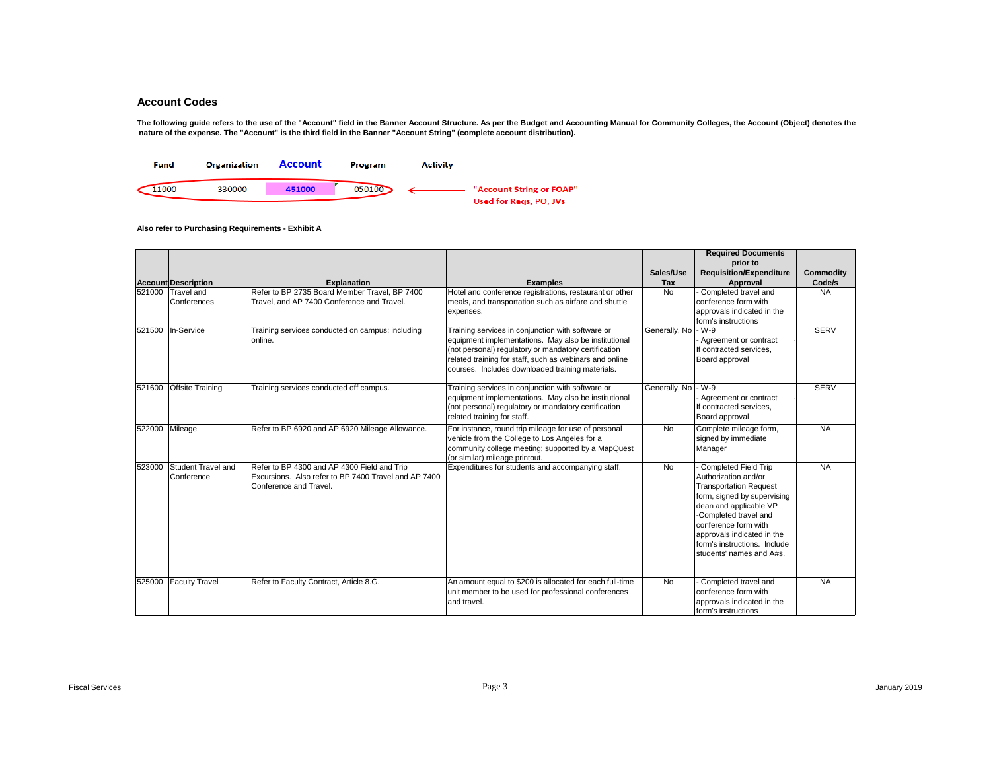The following guide refers to the use of the "Account" field in the Banner Account Structure. As per the Budget and Accounting Manual for Community Colleges, the Account (Object) denotes the  **nature of the expense. The "Account" is the third field in the Banner "Account String" (complete account distribution).** 



|        |                            |                                                      |                                                          |                     | <b>Required Documents</b>      |                  |
|--------|----------------------------|------------------------------------------------------|----------------------------------------------------------|---------------------|--------------------------------|------------------|
|        |                            |                                                      |                                                          |                     | prior to                       |                  |
|        |                            |                                                      |                                                          | Sales/Use           | <b>Requisition/Expenditure</b> | <b>Commodity</b> |
|        | <b>Account Description</b> | <b>Explanation</b>                                   | <b>Examples</b>                                          | Tax                 | Approval                       | Code/s           |
|        | 521000 Travel and          | Refer to BP 2735 Board Member Travel, BP 7400        | Hotel and conference registrations, restaurant or other  | No                  | Completed travel and           | <b>NA</b>        |
|        | Conferences                | Travel, and AP 7400 Conference and Travel.           | meals, and transportation such as airfare and shuttle    |                     | conference form with           |                  |
|        |                            |                                                      | expenses.                                                |                     | approvals indicated in the     |                  |
|        |                            |                                                      |                                                          |                     | form's instructions            |                  |
|        | 521500 In-Service          | Training services conducted on campus; including     | Training services in conjunction with software or        | Generally, No - W-9 |                                | <b>SERV</b>      |
|        |                            | online.                                              | equipment implementations. May also be institutional     |                     | Agreement or contract          |                  |
|        |                            |                                                      | (not personal) regulatory or mandatory certification     |                     | If contracted services.        |                  |
|        |                            |                                                      | related training for staff, such as webinars and online  |                     | Board approval                 |                  |
|        |                            |                                                      | courses. Includes downloaded training materials.         |                     |                                |                  |
| 521600 | <b>Offsite Training</b>    | Training services conducted off campus.              | Training services in conjunction with software or        | Generally, No       | - W-9                          | <b>SERV</b>      |
|        |                            |                                                      | equipment implementations. May also be institutional     |                     | Agreement or contract          |                  |
|        |                            |                                                      | (not personal) regulatory or mandatory certification     |                     | If contracted services.        |                  |
|        |                            |                                                      | related training for staff.                              |                     | Board approval                 |                  |
| 522000 | Mileage                    | Refer to BP 6920 and AP 6920 Mileage Allowance.      | For instance, round trip mileage for use of personal     | <b>No</b>           | Complete mileage form,         | <b>NA</b>        |
|        |                            |                                                      | vehicle from the College to Los Angeles for a            |                     | signed by immediate            |                  |
|        |                            |                                                      | community college meeting; supported by a MapQuest       |                     | Manager                        |                  |
|        |                            |                                                      | (or similar) mileage printout.                           |                     |                                |                  |
| 523000 | Student Travel and         | Refer to BP 4300 and AP 4300 Field and Trip          | Expenditures for students and accompanying staff.        | <b>No</b>           | <b>Completed Field Trip</b>    | <b>NA</b>        |
|        | Conference                 | Excursions. Also refer to BP 7400 Travel and AP 7400 |                                                          |                     | Authorization and/or           |                  |
|        |                            | Conference and Travel.                               |                                                          |                     | <b>Transportation Request</b>  |                  |
|        |                            |                                                      |                                                          |                     | form, signed by supervising    |                  |
|        |                            |                                                      |                                                          |                     | dean and applicable VP         |                  |
|        |                            |                                                      |                                                          |                     | -Completed travel and          |                  |
|        |                            |                                                      |                                                          |                     | conference form with           |                  |
|        |                            |                                                      |                                                          |                     | approvals indicated in the     |                  |
|        |                            |                                                      |                                                          |                     | form's instructions. Include   |                  |
|        |                            |                                                      |                                                          |                     | students' names and A#s.       |                  |
|        |                            |                                                      |                                                          |                     |                                |                  |
|        | 525000 Faculty Travel      | Refer to Faculty Contract, Article 8.G.              | An amount equal to \$200 is allocated for each full-time | <b>No</b>           | Completed travel and           | <b>NA</b>        |
|        |                            |                                                      | unit member to be used for professional conferences      |                     | conference form with           |                  |
|        |                            |                                                      | and travel.                                              |                     | approvals indicated in the     |                  |
|        |                            |                                                      |                                                          |                     | form's instructions            |                  |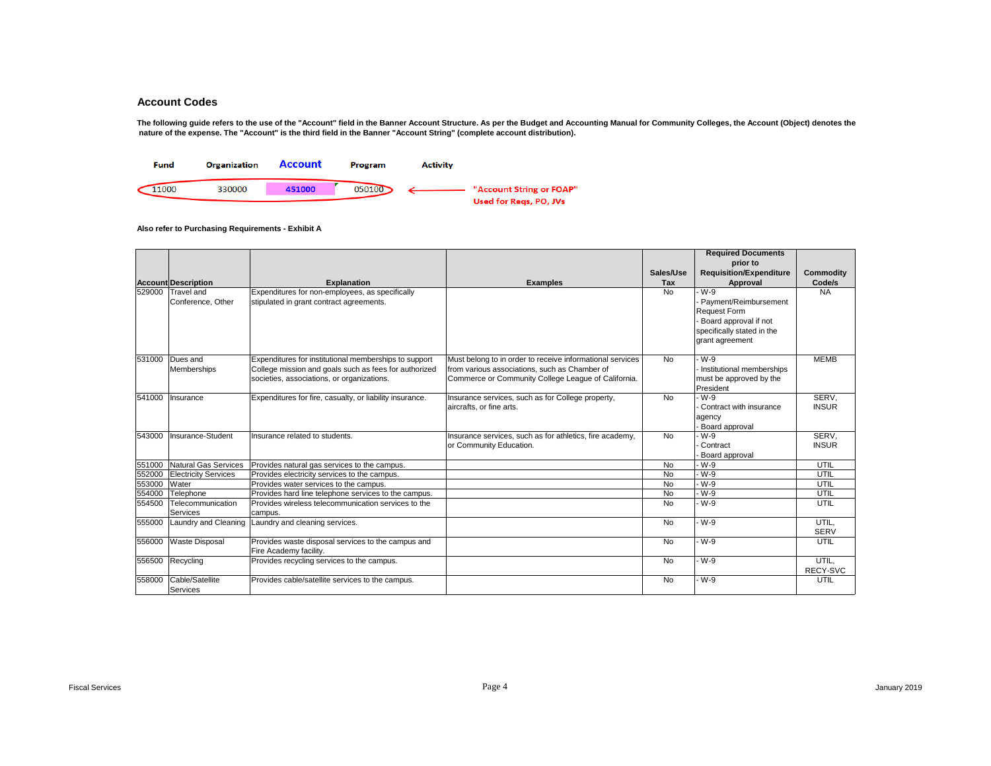The following guide refers to the use of the "Account" field in the Banner Account Structure. As per the Budget and Accounting Manual for Community Colleges, the Account (Object) denotes the  **nature of the expense. The "Account" is the third field in the Banner "Account String" (complete account distribution).** 



|        |                             |                                                          |                                                           |           | <b>Required Documents</b>      |                  |
|--------|-----------------------------|----------------------------------------------------------|-----------------------------------------------------------|-----------|--------------------------------|------------------|
|        |                             |                                                          |                                                           |           | prior to                       |                  |
|        |                             |                                                          |                                                           | Sales/Use | <b>Requisition/Expenditure</b> | <b>Commodity</b> |
|        | <b>Account Description</b>  | <b>Explanation</b>                                       | <b>Examples</b>                                           | Tax       | Approval                       | Code/s           |
| 529000 | <b>Travel and</b>           | Expenditures for non-employees, as specifically          |                                                           | <b>No</b> | W-9                            | <b>NA</b>        |
|        | Conference, Other           | stipulated in grant contract agreements.                 |                                                           |           | Payment/Reimbursement          |                  |
|        |                             |                                                          |                                                           |           | <b>Request Form</b>            |                  |
|        |                             |                                                          |                                                           |           | Board approval if not          |                  |
|        |                             |                                                          |                                                           |           | specifically stated in the     |                  |
|        |                             |                                                          |                                                           |           | grant agreement                |                  |
|        |                             |                                                          |                                                           |           |                                |                  |
| 531000 | Dues and                    | Expenditures for institutional memberships to support    | Must belong to in order to receive informational services | <b>No</b> | W-9                            | <b>MEMB</b>      |
|        | Memberships                 | College mission and goals such as fees for authorized    | from various associations, such as Chamber of             |           | Institutional memberships      |                  |
|        |                             | societies, associations, or organizations.               | Commerce or Community College League of California.       |           | must be approved by the        |                  |
|        |                             |                                                          |                                                           |           | President                      |                  |
| 541000 | Insurance                   | Expenditures for fire, casualty, or liability insurance. | Insurance services, such as for College property,         | No.       | - W-9                          | SERV.            |
|        |                             |                                                          | aircrafts, or fine arts.                                  |           | Contract with insurance        | <b>INSUR</b>     |
|        |                             |                                                          |                                                           |           | agency                         |                  |
|        | Insurance-Student           |                                                          |                                                           |           | Board approval<br>W-9          |                  |
| 543000 |                             | Insurance related to students.                           | Insurance services, such as for athletics, fire academy,  | <b>No</b> |                                | SERV.            |
|        |                             |                                                          | or Community Education.                                   |           | Contract                       | <b>INSUR</b>     |
| 551000 | <b>Natural Gas Services</b> | Provides natural gas services to the campus.             |                                                           | <b>No</b> | Board approval<br>W-9          | UTIL             |
| 552000 | <b>Electricity Services</b> | Provides electricity services to the campus.             |                                                           | <b>No</b> | - W-9                          | UTIL             |
| 553000 | Water                       | Provides water services to the campus.                   |                                                           | <b>No</b> | - W-9                          | UTIL             |
| 554000 | Telephone                   | Provides hard line telephone services to the campus.     |                                                           | <b>No</b> | - W-9                          | UTIL             |
| 554500 | Telecommunication           | Provides wireless telecommunication services to the      |                                                           | <b>No</b> | - W-9                          | UTIL             |
|        | Services                    | campus.                                                  |                                                           |           |                                |                  |
| 555000 |                             | Laundry and Cleaning Laundry and cleaning services.      |                                                           | <b>No</b> | - W-9                          | UTIL,            |
|        |                             |                                                          |                                                           |           |                                | <b>SERV</b>      |
| 556000 | <b>Waste Disposal</b>       | Provides waste disposal services to the campus and       |                                                           | <b>No</b> | W-9                            | UTIL             |
|        |                             | Fire Academy facility.                                   |                                                           |           |                                |                  |
|        | 556500 Recycling            | Provides recycling services to the campus.               |                                                           | No        | W-9                            | UTIL,            |
|        |                             |                                                          |                                                           |           |                                | RECY-SVC         |
| 558000 | Cable/Satellite             | Provides cable/satellite services to the campus.         |                                                           | No        | - W-9                          | UTIL             |
|        | Services                    |                                                          |                                                           |           |                                |                  |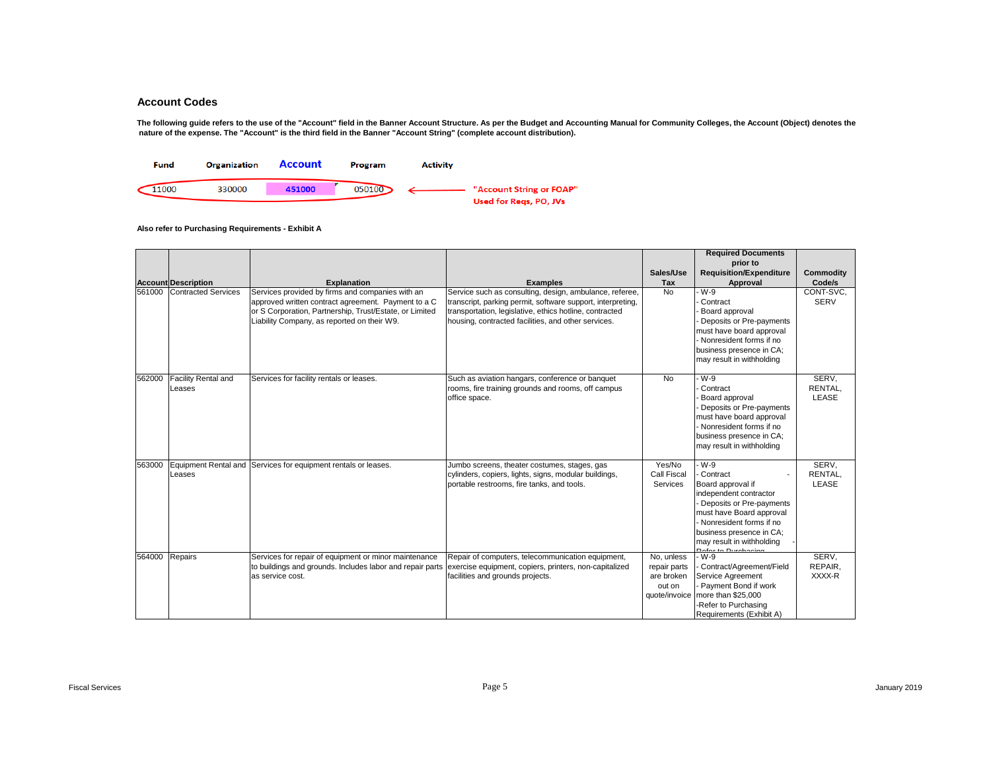The following guide refers to the use of the "Account" field in the Banner Account Structure. As per the Budget and Accounting Manual for Community Colleges, the Account (Object) denotes the  **nature of the expense. The "Account" is the third field in the Banner "Account String" (complete account distribution).** 



|        |                               |                                                                                                                                                                                                                   |                                                                                                                                                                                                                                          |                                                                     | <b>Required Documents</b>                                                                                                                                                                                                                |                            |
|--------|-------------------------------|-------------------------------------------------------------------------------------------------------------------------------------------------------------------------------------------------------------------|------------------------------------------------------------------------------------------------------------------------------------------------------------------------------------------------------------------------------------------|---------------------------------------------------------------------|------------------------------------------------------------------------------------------------------------------------------------------------------------------------------------------------------------------------------------------|----------------------------|
|        |                               |                                                                                                                                                                                                                   |                                                                                                                                                                                                                                          |                                                                     | prior to                                                                                                                                                                                                                                 |                            |
|        |                               |                                                                                                                                                                                                                   |                                                                                                                                                                                                                                          | Sales/Use                                                           | <b>Requisition/Expenditure</b>                                                                                                                                                                                                           | Commodity                  |
|        | <b>Account Description</b>    | <b>Explanation</b>                                                                                                                                                                                                | <b>Examples</b>                                                                                                                                                                                                                          | Tax                                                                 | Approval                                                                                                                                                                                                                                 | Code/s                     |
| 561000 | <b>Contracted Services</b>    | Services provided by firms and companies with an<br>approved written contract agreement. Payment to a C<br>or S Corporation, Partnership, Trust/Estate, or Limited<br>Liability Company, as reported on their W9. | Service such as consulting, design, ambulance, referee,<br>transcript, parking permit, software support, interpreting,<br>transportation, legislative, ethics hotline, contracted<br>housing, contracted facilities, and other services. | <b>No</b>                                                           | W-9<br>Contract<br>Board approval<br>Deposits or Pre-payments<br>must have board approval<br>Nonresident forms if no<br>business presence in CA:<br>may result in withholding                                                            | CONT-SVC.<br><b>SERV</b>   |
| 562000 | Facility Rental and<br>Leases | Services for facility rentals or leases.                                                                                                                                                                          | Such as aviation hangars, conference or banquet<br>rooms, fire training grounds and rooms, off campus<br>office space.                                                                                                                   | No                                                                  | W-9<br>Contract<br>Board approval<br>Deposits or Pre-payments<br>must have board approval<br>Nonresident forms if no<br>business presence in CA;<br>may result in withholding                                                            | SERV.<br>RENTAL.<br>LEASE  |
| 563000 | Leases                        | Equipment Rental and Services for equipment rentals or leases.                                                                                                                                                    | Jumbo screens, theater costumes, stages, gas<br>cylinders, copiers, lights, signs, modular buildings,<br>portable restrooms, fire tanks, and tools.                                                                                      | Yes/No<br>Call Fiscal<br>Services                                   | W-9<br>Contract<br>Board approval if<br>independent contractor<br>Deposits or Pre-payments<br>must have Board approval<br>Nonresident forms if no<br>business presence in CA;<br>may result in withholding<br><b>Refer to Durchooing</b> | SERV.<br>RENTAL.<br>LEASE  |
| 564000 | Repairs                       | Services for repair of equipment or minor maintenance<br>to buildings and grounds. Includes labor and repair parts<br>as service cost.                                                                            | Repair of computers, telecommunication equipment,<br>exercise equipment, copiers, printers, non-capitalized<br>facilities and grounds projects.                                                                                          | No, unless<br>repair parts<br>are broken<br>out on<br>quote/invoice | - W-9<br>Contract/Agreement/Field<br>Service Agreement<br>Payment Bond if work<br>more than \$25,000<br>-Refer to Purchasing<br>Requirements (Exhibit A)                                                                                 | SERV,<br>REPAIR,<br>XXXX-R |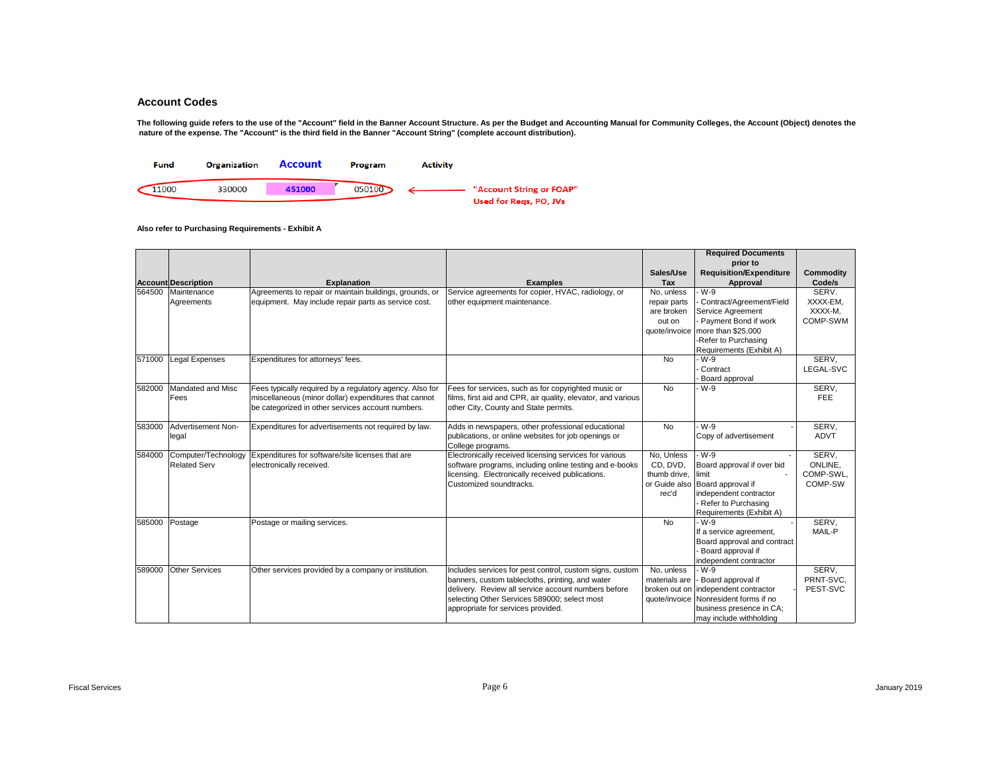The following guide refers to the use of the "Account" field in the Banner Account Structure. As per the Budget and Accounting Manual for Community Colleges, the Account (Object) denotes the  **nature of the expense. The "Account" is the third field in the Banner "Account String" (complete account distribution).** 



|        |                            |                                                          |                                                              |               | <b>Required Documents</b>      |             |
|--------|----------------------------|----------------------------------------------------------|--------------------------------------------------------------|---------------|--------------------------------|-------------|
|        |                            |                                                          |                                                              |               | prior to                       |             |
|        |                            |                                                          |                                                              | Sales/Use     | <b>Requisition/Expenditure</b> | Commodity   |
|        | <b>Account Description</b> | <b>Explanation</b>                                       | <b>Examples</b>                                              | <b>Tax</b>    | Approval                       | Code/s      |
| 564500 | Maintenance                | Agreements to repair or maintain buildings, grounds, or  | Service agreements for copier, HVAC, radiology, or           | No, unless    | W-9                            | SERV.       |
|        | Agreements                 | equipment. May include repair parts as service cost.     | other equipment maintenance.                                 | repair parts  | Contract/Agreement/Field       | XXXX-EM,    |
|        |                            |                                                          |                                                              | are broken    | Service Agreement              | XXXX-M.     |
|        |                            |                                                          |                                                              | out on        | Payment Bond if work           | COMP-SWM    |
|        |                            |                                                          |                                                              | quote/invoice | more than \$25,000             |             |
|        |                            |                                                          |                                                              |               | -Refer to Purchasing           |             |
|        |                            |                                                          |                                                              |               | Requirements (Exhibit A)       |             |
| 571000 | <b>Legal Expenses</b>      | Expenditures for attorneys' fees.                        |                                                              | <b>No</b>     | W-9                            | SERV,       |
|        |                            |                                                          |                                                              |               | Contract                       | LEGAL-SVC   |
|        |                            |                                                          |                                                              |               | Board approval                 |             |
| 582000 | Mandated and Misc          | Fees typically required by a requlatory agency. Also for | Fees for services, such as for copyrighted music or          | <b>No</b>     | W-9                            | SERV,       |
|        | Fees                       | miscellaneous (minor dollar) expenditures that cannot    | films, first aid and CPR, air quality, elevator, and various |               |                                | <b>FEE</b>  |
|        |                            | be categorized in other services account numbers.        | other City, County and State permits.                        |               |                                |             |
|        |                            |                                                          |                                                              |               |                                |             |
| 583000 | Advertisement Non-         | Expenditures for advertisements not required by law.     | Adds in newspapers, other professional educational           | <b>No</b>     | W-9                            | SERV.       |
|        | legal                      |                                                          | publications, or online websites for job openings or         |               | Copy of advertisement          | <b>ADVT</b> |
|        |                            |                                                          | College programs.                                            |               |                                |             |
| 584000 | Computer/Technology        | Expenditures for software/site licenses that are         | Electronically received licensing services for various       | No, Unless    | W-9                            | SERV.       |
|        | <b>Related Serv</b>        | electronically received.                                 | software programs, including online testing and e-books      | CD, DVD,      | Board approval if over bid     | ONLINE,     |
|        |                            |                                                          | licensing. Electronically received publications.             | thumb drive,  | limit                          | COMP-SWL.   |
|        |                            |                                                          | Customized soundtracks.                                      | or Guide also | Board approval if              | COMP-SW     |
|        |                            |                                                          |                                                              | rec'd         | independent contractor         |             |
|        |                            |                                                          |                                                              |               | Refer to Purchasing            |             |
|        |                            |                                                          |                                                              |               | Requirements (Exhibit A)       |             |
|        | 585000 Postage             | Postage or mailing services.                             |                                                              | <b>No</b>     | W-9                            | SERV.       |
|        |                            |                                                          |                                                              |               | If a service agreement,        | MAIL-P      |
|        |                            |                                                          |                                                              |               | Board approval and contract    |             |
|        |                            |                                                          |                                                              |               | Board approval if              |             |
|        |                            |                                                          |                                                              |               | independent contractor         |             |
| 589000 | <b>Other Services</b>      | Other services provided by a company or institution.     | Includes services for pest control, custom signs, custom     | No, unless    | - W-9                          | SERV,       |
|        |                            |                                                          | banners, custom tablecloths, printing, and water             | materials are | Board approval if              | PRNT-SVC,   |
|        |                            |                                                          | delivery. Review all service account numbers before          | broken out on | independent contractor         | PEST-SVC    |
|        |                            |                                                          | selecting Other Services 589000; select most                 | quote/invoice | Nonresident forms if no        |             |
|        |                            |                                                          | appropriate for services provided.                           |               | business presence in CA;       |             |
|        |                            |                                                          |                                                              |               | may include withholding        |             |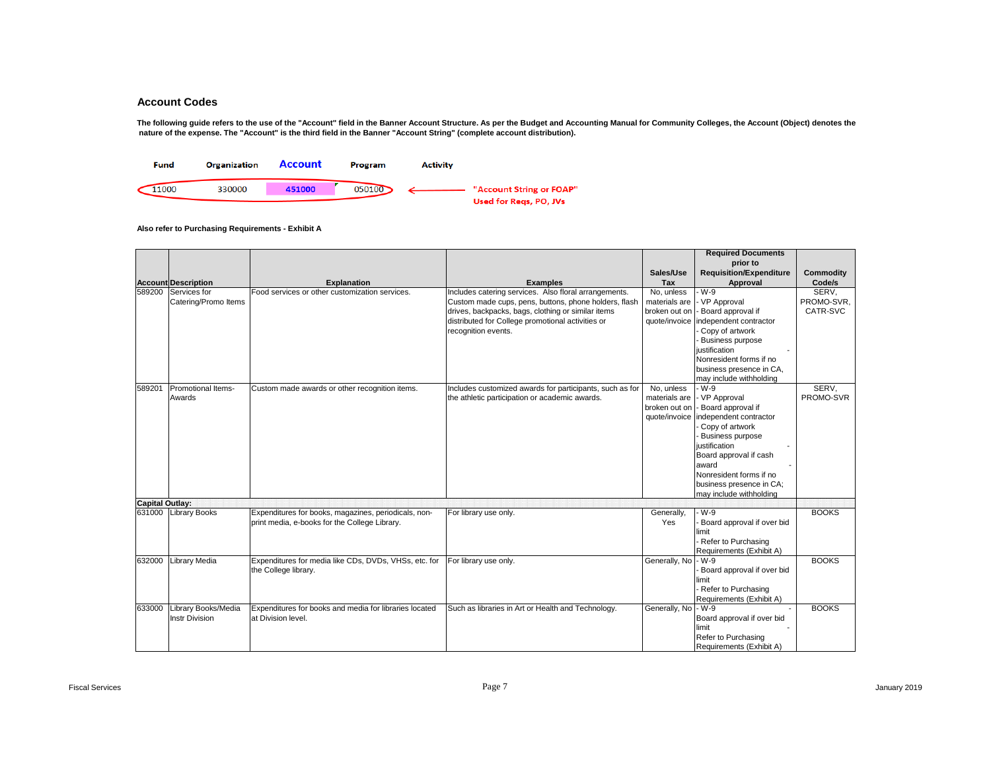The following guide refers to the use of the "Account" field in the Banner Account Structure. As per the Budget and Accounting Manual for Community Colleges, the Account (Object) denotes the  **nature of the expense. The "Account" is the third field in the Banner "Account String" (complete account distribution).** 



|                        |                                              |                                                                                                       |                                                                                                                                                                                         |                                                               | <b>Required Documents</b>                                                                                                                                                                                                                                 |                        |
|------------------------|----------------------------------------------|-------------------------------------------------------------------------------------------------------|-----------------------------------------------------------------------------------------------------------------------------------------------------------------------------------------|---------------------------------------------------------------|-----------------------------------------------------------------------------------------------------------------------------------------------------------------------------------------------------------------------------------------------------------|------------------------|
|                        |                                              |                                                                                                       |                                                                                                                                                                                         |                                                               | prior to                                                                                                                                                                                                                                                  |                        |
|                        | <b>Account Description</b>                   | <b>Explanation</b>                                                                                    | <b>Examples</b>                                                                                                                                                                         | Sales/Use<br>Tax                                              | <b>Requisition/Expenditure</b><br>Approval                                                                                                                                                                                                                | Commodity<br>Code/s    |
| 589200                 | Services for                                 | Food services or other customization services.                                                        | Includes catering services. Also floral arrangements.                                                                                                                                   | No, unless                                                    | W-9                                                                                                                                                                                                                                                       | SERV,                  |
|                        | Catering/Promo Items                         |                                                                                                       | Custom made cups, pens, buttons, phone holders, flash<br>drives, backpacks, bags, clothing or similar items<br>distributed for College promotional activities or<br>recognition events. | materials are<br>broken out on<br>quote/invoice               | VP Approval<br>Board approval if<br>independent contractor<br>Copy of artwork<br><b>Business purpose</b><br>iustification<br>Nonresident forms if no<br>business presence in CA,                                                                          | PROMO-SVR.<br>CATR-SVC |
|                        |                                              |                                                                                                       |                                                                                                                                                                                         |                                                               | may include withholding                                                                                                                                                                                                                                   |                        |
| 589201                 | Promotional Items-<br>Awards                 | Custom made awards or other recognition items.                                                        | Includes customized awards for participants, such as for<br>the athletic participation or academic awards.                                                                              | No. unless<br>materials are<br>broken out on<br>quote/invoice | - W-9<br>- VP Approval<br>Board approval if<br>independent contractor<br>Copy of artwork<br><b>Business purpose</b><br>iustification<br>Board approval if cash<br>award<br>Nonresident forms if no<br>business presence in CA;<br>may include withholding | SERV.<br>PROMO-SVR     |
| <b>Capital Outlay:</b> |                                              |                                                                                                       |                                                                                                                                                                                         |                                                               |                                                                                                                                                                                                                                                           |                        |
|                        | 631000 Library Books                         | Expenditures for books, magazines, periodicals, non-<br>print media, e-books for the College Library. | For library use only.                                                                                                                                                                   | Generally,<br>Yes                                             | - W-9<br>Board approval if over bid<br>limit<br>Refer to Purchasing<br>Requirements (Exhibit A)                                                                                                                                                           | <b>BOOKS</b>           |
| 632000                 | Library Media                                | Expenditures for media like CDs, DVDs, VHSs, etc. for<br>the College library.                         | For library use only.                                                                                                                                                                   | Generally, No                                                 | $-W-9$<br>Board approval if over bid<br>limit<br>Refer to Purchasing<br>Requirements (Exhibit A)                                                                                                                                                          | <b>BOOKS</b>           |
| 633000                 | Library Books/Media<br><b>Instr Division</b> | Expenditures for books and media for libraries located<br>at Division level.                          | Such as libraries in Art or Health and Technology.                                                                                                                                      | Generally, No                                                 | $-W-9$<br>Board approval if over bid<br>limit<br>Refer to Purchasing<br>Requirements (Exhibit A)                                                                                                                                                          | <b>BOOKS</b>           |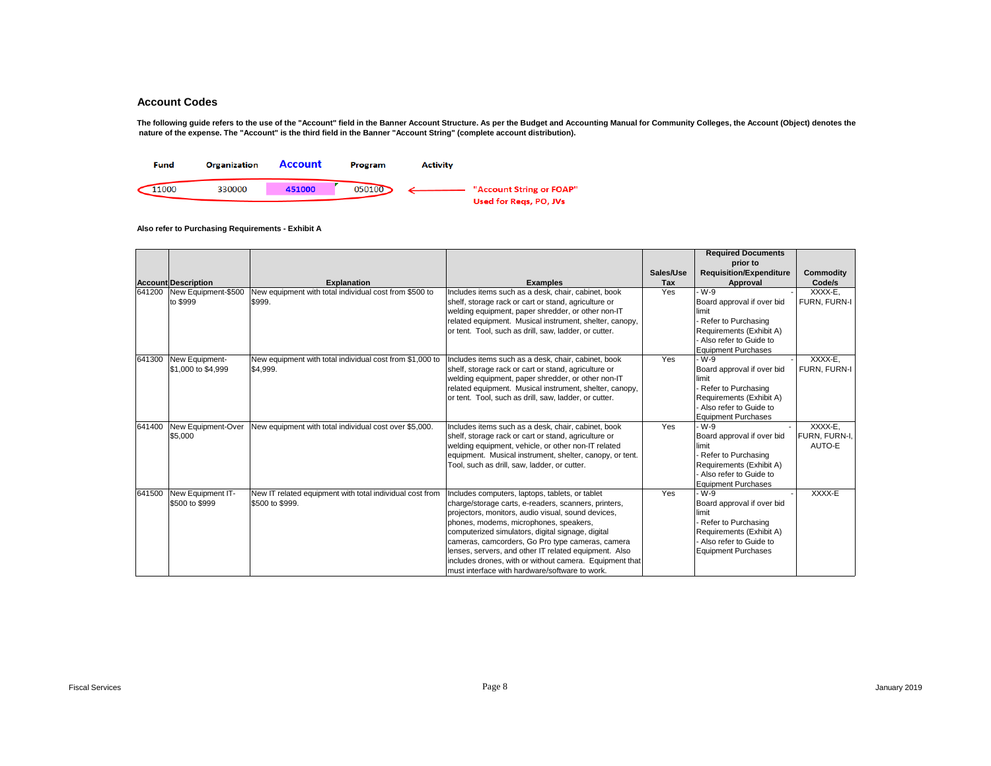The following guide refers to the use of the "Account" field in the Banner Account Structure. As per the Budget and Accounting Manual for Community Colleges, the Account (Object) denotes the  **nature of the expense. The "Account" is the third field in the Banner "Account String" (complete account distribution).** 



|        |                            |                                                          |                                                          |            | <b>Required Documents</b>                                                                                                                                                                                                                                                                                                                                                                              |                     |
|--------|----------------------------|----------------------------------------------------------|----------------------------------------------------------|------------|--------------------------------------------------------------------------------------------------------------------------------------------------------------------------------------------------------------------------------------------------------------------------------------------------------------------------------------------------------------------------------------------------------|---------------------|
|        |                            |                                                          |                                                          |            | prior to                                                                                                                                                                                                                                                                                                                                                                                               |                     |
|        |                            |                                                          |                                                          | Sales/Use  | <b>Requisition/Expenditure</b>                                                                                                                                                                                                                                                                                                                                                                         | Commodity           |
|        | <b>Account Description</b> | <b>Explanation</b>                                       | <b>Examples</b>                                          | <b>Tax</b> | Approval                                                                                                                                                                                                                                                                                                                                                                                               | Code/s              |
| 641200 | New Equipment-\$500        | New equipment with total individual cost from \$500 to   | Includes items such as a desk, chair, cabinet, book      | Yes        | W-9                                                                                                                                                                                                                                                                                                                                                                                                    | XXXX-E,             |
|        | to \$999                   | \$999.                                                   | shelf, storage rack or cart or stand, agriculture or     |            | Board approval if over bid                                                                                                                                                                                                                                                                                                                                                                             | <b>FURN. FURN-I</b> |
|        |                            |                                                          | welding equipment, paper shredder, or other non-IT       |            |                                                                                                                                                                                                                                                                                                                                                                                                        |                     |
|        |                            |                                                          | related equipment. Musical instrument, shelter, canopy,  |            |                                                                                                                                                                                                                                                                                                                                                                                                        |                     |
|        |                            |                                                          | or tent. Tool, such as drill, saw, ladder, or cutter.    |            | limit<br>Refer to Purchasing<br>Requirements (Exhibit A)<br>Also refer to Guide to<br><b>Equipment Purchases</b><br>W-9<br>Board approval if over bid<br>limit<br>Refer to Purchasing<br>Requirements (Exhibit A)<br>Also refer to Guide to<br><b>Equipment Purchases</b><br>- W-9<br>Board approval if over bid<br>limit<br>Refer to Purchasing<br>Requirements (Exhibit A)<br>Also refer to Guide to |                     |
|        |                            |                                                          |                                                          |            |                                                                                                                                                                                                                                                                                                                                                                                                        |                     |
|        |                            |                                                          |                                                          |            |                                                                                                                                                                                                                                                                                                                                                                                                        |                     |
| 641300 | New Equipment-             | New equipment with total individual cost from \$1,000 to | Includes items such as a desk, chair, cabinet, book      | Yes        |                                                                                                                                                                                                                                                                                                                                                                                                        | XXXX-E.             |
|        | \$1,000 to \$4,999         | \$4,999.                                                 | shelf, storage rack or cart or stand, agriculture or     |            |                                                                                                                                                                                                                                                                                                                                                                                                        | FURN. FURN-I        |
|        |                            |                                                          | welding equipment, paper shredder, or other non-IT       |            |                                                                                                                                                                                                                                                                                                                                                                                                        |                     |
|        |                            |                                                          | related equipment. Musical instrument, shelter, canopy,  |            |                                                                                                                                                                                                                                                                                                                                                                                                        |                     |
|        |                            |                                                          | or tent. Tool, such as drill, saw, ladder, or cutter.    |            |                                                                                                                                                                                                                                                                                                                                                                                                        |                     |
|        |                            |                                                          |                                                          |            |                                                                                                                                                                                                                                                                                                                                                                                                        |                     |
|        |                            |                                                          |                                                          |            |                                                                                                                                                                                                                                                                                                                                                                                                        |                     |
| 641400 | New Equipment-Over         | New equipment with total individual cost over \$5,000.   | Includes items such as a desk, chair, cabinet, book      | Yes        |                                                                                                                                                                                                                                                                                                                                                                                                        | XXXX-E.             |
|        | \$5,000                    |                                                          | shelf, storage rack or cart or stand, agriculture or     |            |                                                                                                                                                                                                                                                                                                                                                                                                        | FURN, FURN-I,       |
|        |                            |                                                          | welding equipment, vehicle, or other non-IT related      |            |                                                                                                                                                                                                                                                                                                                                                                                                        | AUTO-E              |
|        |                            |                                                          | equipment. Musical instrument, shelter, canopy, or tent. |            |                                                                                                                                                                                                                                                                                                                                                                                                        |                     |
|        |                            |                                                          | Tool, such as drill, saw, ladder, or cutter.             |            |                                                                                                                                                                                                                                                                                                                                                                                                        |                     |
|        |                            |                                                          |                                                          |            |                                                                                                                                                                                                                                                                                                                                                                                                        |                     |
|        |                            |                                                          |                                                          |            | <b>Equipment Purchases</b>                                                                                                                                                                                                                                                                                                                                                                             |                     |
| 641500 | New Equipment IT-          | New IT related equipment with total individual cost from | Includes computers, laptops, tablets, or tablet          | Yes        | - W-9                                                                                                                                                                                                                                                                                                                                                                                                  | XXXX-E              |
|        | \$500 to \$999             | \$500 to \$999.                                          | charge/storage carts, e-readers, scanners, printers,     |            | Board approval if over bid                                                                                                                                                                                                                                                                                                                                                                             |                     |
|        |                            |                                                          | projectors, monitors, audio visual, sound devices,       |            | limit                                                                                                                                                                                                                                                                                                                                                                                                  |                     |
|        |                            |                                                          | phones, modems, microphones, speakers,                   |            | Refer to Purchasing                                                                                                                                                                                                                                                                                                                                                                                    |                     |
|        |                            |                                                          | computerized simulators, digital signage, digital        |            | Requirements (Exhibit A)                                                                                                                                                                                                                                                                                                                                                                               |                     |
|        |                            |                                                          | cameras, camcorders, Go Pro type cameras, camera         |            | Also refer to Guide to                                                                                                                                                                                                                                                                                                                                                                                 |                     |
|        |                            |                                                          | lenses, servers, and other IT related equipment. Also    |            | <b>Equipment Purchases</b>                                                                                                                                                                                                                                                                                                                                                                             |                     |
|        |                            |                                                          | includes drones, with or without camera. Equipment that  |            |                                                                                                                                                                                                                                                                                                                                                                                                        |                     |
|        |                            |                                                          | must interface with hardware/software to work.           |            |                                                                                                                                                                                                                                                                                                                                                                                                        |                     |